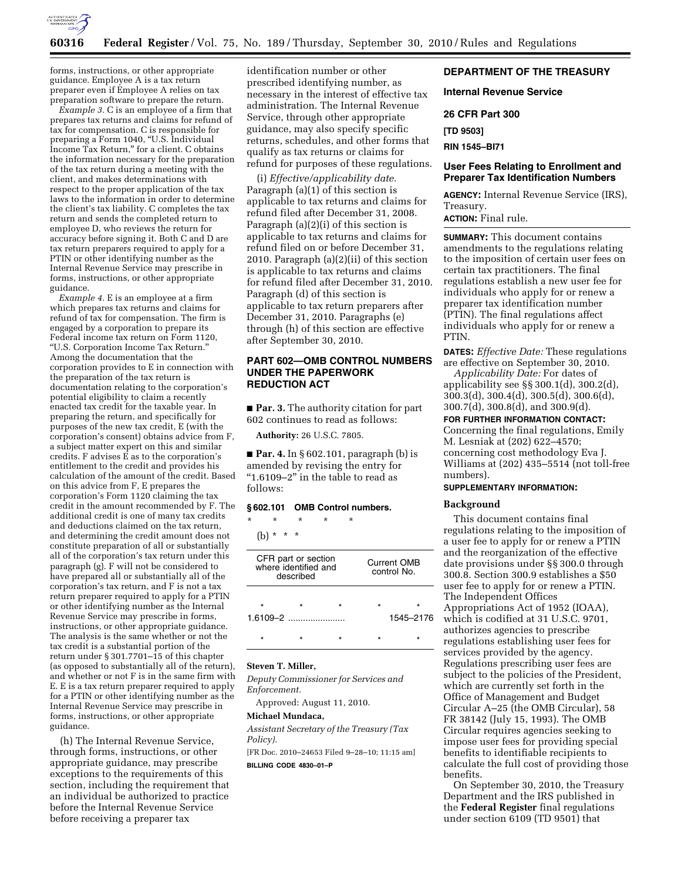

forms, instructions, or other appropriate guidance. Employee A is a tax return preparer even if Employee A relies on tax preparation software to prepare the return.

*Example 3.* C is an employee of a firm that prepares tax returns and claims for refund of tax for compensation. C is responsible for preparing a Form 1040, "U.S. Individual Income Tax Return,'' for a client. C obtains the information necessary for the preparation of the tax return during a meeting with the client, and makes determinations with respect to the proper application of the tax laws to the information in order to determine the client's tax liability. C completes the tax return and sends the completed return to employee D, who reviews the return for accuracy before signing it. Both C and D are tax return preparers required to apply for a PTIN or other identifying number as the Internal Revenue Service may prescribe in forms, instructions, or other appropriate guidance.

*Example 4.* E is an employee at a firm which prepares tax returns and claims for refund of tax for compensation. The firm is engaged by a corporation to prepare its Federal income tax return on Form 1120, ''U.S. Corporation Income Tax Return.'' Among the documentation that the corporation provides to E in connection with the preparation of the tax return is documentation relating to the corporation's potential eligibility to claim a recently enacted tax credit for the taxable year. In preparing the return, and specifically for purposes of the new tax credit, E (with the corporation's consent) obtains advice from F, a subject matter expert on this and similar credits. F advises E as to the corporation's entitlement to the credit and provides his calculation of the amount of the credit. Based on this advice from F, E prepares the corporation's Form 1120 claiming the tax credit in the amount recommended by F. The additional credit is one of many tax credits and deductions claimed on the tax return, and determining the credit amount does not constitute preparation of all or substantially all of the corporation's tax return under this paragraph (g). F will not be considered to have prepared all or substantially all of the corporation's tax return, and F is not a tax return preparer required to apply for a PTIN or other identifying number as the Internal Revenue Service may prescribe in forms, instructions, or other appropriate guidance. The analysis is the same whether or not the tax credit is a substantial portion of the return under § 301.7701–15 of this chapter (as opposed to substantially all of the return), and whether or not F is in the same firm with E. E is a tax return preparer required to apply for a PTIN or other identifying number as the Internal Revenue Service may prescribe in forms, instructions, or other appropriate guidance.

(h) The Internal Revenue Service, through forms, instructions, or other appropriate guidance, may prescribe exceptions to the requirements of this section, including the requirement that an individual be authorized to practice before the Internal Revenue Service before receiving a preparer tax

identification number or other prescribed identifying number, as necessary in the interest of effective tax administration. The Internal Revenue Service, through other appropriate guidance, may also specify specific returns, schedules, and other forms that qualify as tax returns or claims for refund for purposes of these regulations.

(i) *Effective/applicability date.*  Paragraph (a)(1) of this section is applicable to tax returns and claims for refund filed after December 31, 2008. Paragraph (a)(2)(i) of this section is applicable to tax returns and claims for refund filed on or before December 31, 2010. Paragraph (a)(2)(ii) of this section is applicable to tax returns and claims for refund filed after December 31, 2010. Paragraph (d) of this section is applicable to tax return preparers after December 31, 2010. Paragraphs (e) through (h) of this section are effective after September 30, 2010.

# **PART 602—OMB CONTROL NUMBERS UNDER THE PAPERWORK REDUCTION ACT**

■ **Par. 3.** The authority citation for part 602 continues to read as follows:

**Authority:** 26 U.S.C. 7805.

■ **Par. 4.** In § 602.101, paragraph (b) is amended by revising the entry for " $1.6109 - 2$ " in the table to read as follows:

## **§ 602.101 OMB Control numbers.**

\* \* \* \* \*

(b) \* \* \*

| CFR part or section<br>where identified and<br>described |  |  | Current OMB<br>control No. |   |
|----------------------------------------------------------|--|--|----------------------------|---|
|                                                          |  |  | ÷                          | ÷ |
| $1.6109 - 2$                                             |  |  | 1545–2176                  |   |
|                                                          |  |  |                            |   |
|                                                          |  |  |                            |   |

## **Steven T. Miller,**

*Deputy Commissioner for Services and Enforcement.* 

Approved: August 11, 2010.

# **Michael Mundaca,**

*Assistant Secretary of the Treasury (Tax Policy).* 

[FR Doc. 2010–24653 Filed 9–28–10; 11:15 am] **BILLING CODE 4830–01–P** 

# **DEPARTMENT OF THE TREASURY**

**Internal Revenue Service** 

**26 CFR Part 300** 

**[TD 9503]** 

**RIN 1545–BI71** 

## **User Fees Relating to Enrollment and Preparer Tax Identification Numbers**

**AGENCY:** Internal Revenue Service (IRS), Treasury.

**ACTION:** Final rule.

**SUMMARY:** This document contains amendments to the regulations relating to the imposition of certain user fees on certain tax practitioners. The final regulations establish a new user fee for individuals who apply for or renew a preparer tax identification number (PTIN). The final regulations affect individuals who apply for or renew a PTIN.

**DATES:** *Effective Date:* These regulations are effective on September 30, 2010.

*Applicability Date:* For dates of applicability see §§ 300.1(d), 300.2(d), 300.3(d), 300.4(d), 300.5(d), 300.6(d), 300.7(d), 300.8(d), and 300.9(d).

**FOR FURTHER INFORMATION CONTACT:**  Concerning the final regulations, Emily M. Lesniak at (202) 622–4570; concerning cost methodology Eva J. Williams at (202) 435–5514 (not toll-free numbers).

# **SUPPLEMENTARY INFORMATION:**

#### **Background**

This document contains final regulations relating to the imposition of a user fee to apply for or renew a PTIN and the reorganization of the effective date provisions under §§ 300.0 through 300.8. Section 300.9 establishes a \$50 user fee to apply for or renew a PTIN. The Independent Offices Appropriations Act of 1952 (IOAA), which is codified at 31 U.S.C. 9701, authorizes agencies to prescribe regulations establishing user fees for services provided by the agency. Regulations prescribing user fees are subject to the policies of the President, which are currently set forth in the Office of Management and Budget Circular A–25 (the OMB Circular), 58 FR 38142 (July 15, 1993). The OMB Circular requires agencies seeking to impose user fees for providing special benefits to identifiable recipients to calculate the full cost of providing those benefits.

On September 30, 2010, the Treasury Department and the IRS published in the **Federal Register** final regulations under section 6109 (TD 9501) that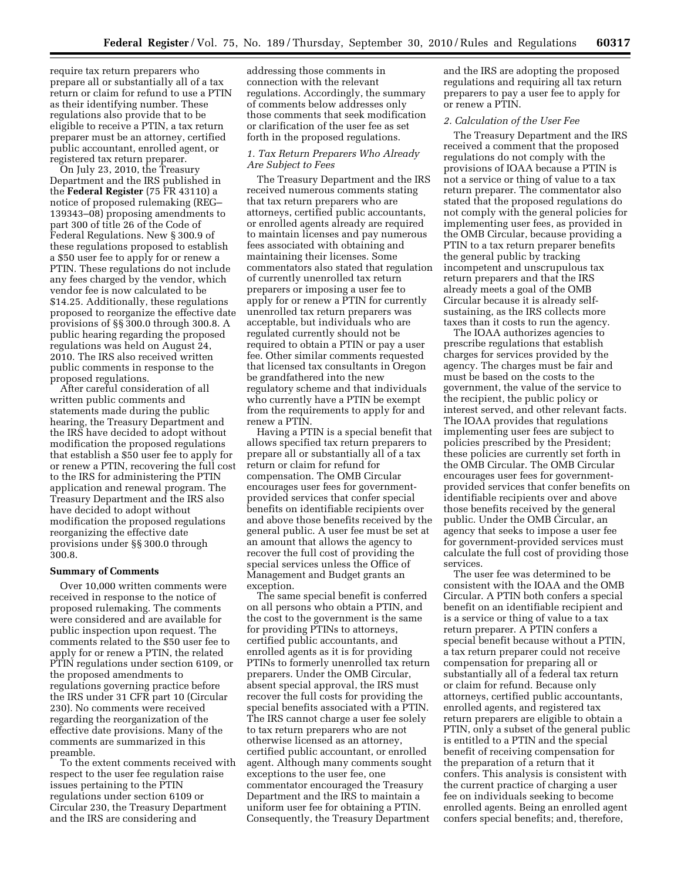require tax return preparers who prepare all or substantially all of a tax return or claim for refund to use a PTIN as their identifying number. These regulations also provide that to be eligible to receive a PTIN, a tax return preparer must be an attorney, certified public accountant, enrolled agent, or registered tax return preparer.

On July 23, 2010, the Treasury Department and the IRS published in the **Federal Register** (75 FR 43110) a notice of proposed rulemaking (REG– 139343–08) proposing amendments to part 300 of title 26 of the Code of Federal Regulations. New § 300.9 of these regulations proposed to establish a \$50 user fee to apply for or renew a PTIN. These regulations do not include any fees charged by the vendor, which vendor fee is now calculated to be \$14.25. Additionally, these regulations proposed to reorganize the effective date provisions of §§ 300.0 through 300.8. A public hearing regarding the proposed regulations was held on August 24, 2010. The IRS also received written public comments in response to the proposed regulations.

After careful consideration of all written public comments and statements made during the public hearing, the Treasury Department and the IRS have decided to adopt without modification the proposed regulations that establish a \$50 user fee to apply for or renew a PTIN, recovering the full cost to the IRS for administering the PTIN application and renewal program. The Treasury Department and the IRS also have decided to adopt without modification the proposed regulations reorganizing the effective date provisions under §§ 300.0 through 300.8.

#### **Summary of Comments**

Over 10,000 written comments were received in response to the notice of proposed rulemaking. The comments were considered and are available for public inspection upon request. The comments related to the \$50 user fee to apply for or renew a PTIN, the related PTIN regulations under section 6109, or the proposed amendments to regulations governing practice before the IRS under 31 CFR part 10 (Circular 230). No comments were received regarding the reorganization of the effective date provisions. Many of the comments are summarized in this preamble.

To the extent comments received with respect to the user fee regulation raise issues pertaining to the PTIN regulations under section 6109 or Circular 230, the Treasury Department and the IRS are considering and

addressing those comments in connection with the relevant regulations. Accordingly, the summary of comments below addresses only those comments that seek modification or clarification of the user fee as set forth in the proposed regulations.

## *1. Tax Return Preparers Who Already Are Subject to Fees*

The Treasury Department and the IRS received numerous comments stating that tax return preparers who are attorneys, certified public accountants, or enrolled agents already are required to maintain licenses and pay numerous fees associated with obtaining and maintaining their licenses. Some commentators also stated that regulation of currently unenrolled tax return preparers or imposing a user fee to apply for or renew a PTIN for currently unenrolled tax return preparers was acceptable, but individuals who are regulated currently should not be required to obtain a PTIN or pay a user fee. Other similar comments requested that licensed tax consultants in Oregon be grandfathered into the new regulatory scheme and that individuals who currently have a PTIN be exempt from the requirements to apply for and renew a PTIN.

Having a PTIN is a special benefit that allows specified tax return preparers to prepare all or substantially all of a tax return or claim for refund for compensation. The OMB Circular encourages user fees for governmentprovided services that confer special benefits on identifiable recipients over and above those benefits received by the general public. A user fee must be set at an amount that allows the agency to recover the full cost of providing the special services unless the Office of Management and Budget grants an exception.

The same special benefit is conferred on all persons who obtain a PTIN, and the cost to the government is the same for providing PTINs to attorneys, certified public accountants, and enrolled agents as it is for providing PTINs to formerly unenrolled tax return preparers. Under the OMB Circular, absent special approval, the IRS must recover the full costs for providing the special benefits associated with a PTIN. The IRS cannot charge a user fee solely to tax return preparers who are not otherwise licensed as an attorney, certified public accountant, or enrolled agent. Although many comments sought exceptions to the user fee, one commentator encouraged the Treasury Department and the IRS to maintain a uniform user fee for obtaining a PTIN. Consequently, the Treasury Department

and the IRS are adopting the proposed regulations and requiring all tax return preparers to pay a user fee to apply for or renew a PTIN.

## *2. Calculation of the User Fee*

The Treasury Department and the IRS received a comment that the proposed regulations do not comply with the provisions of IOAA because a PTIN is not a service or thing of value to a tax return preparer. The commentator also stated that the proposed regulations do not comply with the general policies for implementing user fees, as provided in the OMB Circular, because providing a PTIN to a tax return preparer benefits the general public by tracking incompetent and unscrupulous tax return preparers and that the IRS already meets a goal of the OMB Circular because it is already selfsustaining, as the IRS collects more taxes than it costs to run the agency.

The IOAA authorizes agencies to prescribe regulations that establish charges for services provided by the agency. The charges must be fair and must be based on the costs to the government, the value of the service to the recipient, the public policy or interest served, and other relevant facts. The IOAA provides that regulations implementing user fees are subject to policies prescribed by the President; these policies are currently set forth in the OMB Circular. The OMB Circular encourages user fees for governmentprovided services that confer benefits on identifiable recipients over and above those benefits received by the general public. Under the OMB Circular, an agency that seeks to impose a user fee for government-provided services must calculate the full cost of providing those services.

The user fee was determined to be consistent with the IOAA and the OMB Circular. A PTIN both confers a special benefit on an identifiable recipient and is a service or thing of value to a tax return preparer. A PTIN confers a special benefit because without a PTIN, a tax return preparer could not receive compensation for preparing all or substantially all of a federal tax return or claim for refund. Because only attorneys, certified public accountants, enrolled agents, and registered tax return preparers are eligible to obtain a PTIN, only a subset of the general public is entitled to a PTIN and the special benefit of receiving compensation for the preparation of a return that it confers. This analysis is consistent with the current practice of charging a user fee on individuals seeking to become enrolled agents. Being an enrolled agent confers special benefits; and, therefore,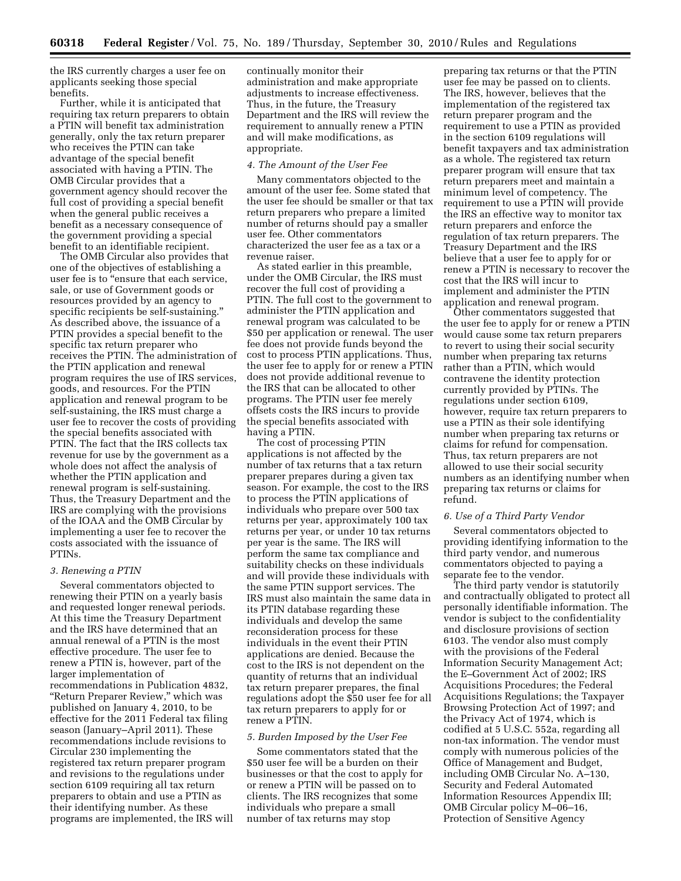the IRS currently charges a user fee on applicants seeking those special benefits.

Further, while it is anticipated that requiring tax return preparers to obtain a PTIN will benefit tax administration generally, only the tax return preparer who receives the PTIN can take advantage of the special benefit associated with having a PTIN. The OMB Circular provides that a government agency should recover the full cost of providing a special benefit when the general public receives a benefit as a necessary consequence of the government providing a special benefit to an identifiable recipient.

The OMB Circular also provides that one of the objectives of establishing a user fee is to "ensure that each service, sale, or use of Government goods or resources provided by an agency to specific recipients be self-sustaining.'' As described above, the issuance of a PTIN provides a special benefit to the specific tax return preparer who receives the PTIN. The administration of the PTIN application and renewal program requires the use of IRS services, goods, and resources. For the PTIN application and renewal program to be self-sustaining, the IRS must charge a user fee to recover the costs of providing the special benefits associated with PTIN. The fact that the IRS collects tax revenue for use by the government as a whole does not affect the analysis of whether the PTIN application and renewal program is self-sustaining. Thus, the Treasury Department and the IRS are complying with the provisions of the IOAA and the OMB Circular by implementing a user fee to recover the costs associated with the issuance of PTINs.

#### *3. Renewing a PTIN*

Several commentators objected to renewing their PTIN on a yearly basis and requested longer renewal periods. At this time the Treasury Department and the IRS have determined that an annual renewal of a PTIN is the most effective procedure. The user fee to renew a PTIN is, however, part of the larger implementation of recommendations in Publication 4832, "Return Preparer Review," which was published on January 4, 2010, to be effective for the 2011 Federal tax filing season (January–April 2011). These recommendations include revisions to Circular 230 implementing the registered tax return preparer program and revisions to the regulations under section 6109 requiring all tax return preparers to obtain and use a PTIN as their identifying number. As these programs are implemented, the IRS will

continually monitor their administration and make appropriate adjustments to increase effectiveness. Thus, in the future, the Treasury Department and the IRS will review the requirement to annually renew a PTIN and will make modifications, as appropriate.

## *4. The Amount of the User Fee*

Many commentators objected to the amount of the user fee. Some stated that the user fee should be smaller or that tax return preparers who prepare a limited number of returns should pay a smaller user fee. Other commentators characterized the user fee as a tax or a revenue raiser.

As stated earlier in this preamble, under the OMB Circular, the IRS must recover the full cost of providing a PTIN. The full cost to the government to administer the PTIN application and renewal program was calculated to be \$50 per application or renewal. The user fee does not provide funds beyond the cost to process PTIN applications. Thus, the user fee to apply for or renew a PTIN does not provide additional revenue to the IRS that can be allocated to other programs. The PTIN user fee merely offsets costs the IRS incurs to provide the special benefits associated with having a PTIN.

The cost of processing PTIN applications is not affected by the number of tax returns that a tax return preparer prepares during a given tax season. For example, the cost to the IRS to process the PTIN applications of individuals who prepare over 500 tax returns per year, approximately 100 tax returns per year, or under 10 tax returns per year is the same. The IRS will perform the same tax compliance and suitability checks on these individuals and will provide these individuals with the same PTIN support services. The IRS must also maintain the same data in its PTIN database regarding these individuals and develop the same reconsideration process for these individuals in the event their PTIN applications are denied. Because the cost to the IRS is not dependent on the quantity of returns that an individual tax return preparer prepares, the final regulations adopt the \$50 user fee for all tax return preparers to apply for or renew a PTIN.

## *5. Burden Imposed by the User Fee*

Some commentators stated that the \$50 user fee will be a burden on their businesses or that the cost to apply for or renew a PTIN will be passed on to clients. The IRS recognizes that some individuals who prepare a small number of tax returns may stop

preparing tax returns or that the PTIN user fee may be passed on to clients. The IRS, however, believes that the implementation of the registered tax return preparer program and the requirement to use a PTIN as provided in the section 6109 regulations will benefit taxpayers and tax administration as a whole. The registered tax return preparer program will ensure that tax return preparers meet and maintain a minimum level of competency. The requirement to use a PTIN will provide the IRS an effective way to monitor tax return preparers and enforce the regulation of tax return preparers. The Treasury Department and the IRS believe that a user fee to apply for or renew a PTIN is necessary to recover the cost that the IRS will incur to implement and administer the PTIN application and renewal program.

Other commentators suggested that the user fee to apply for or renew a PTIN would cause some tax return preparers to revert to using their social security number when preparing tax returns rather than a PTIN, which would contravene the identity protection currently provided by PTINs. The regulations under section 6109, however, require tax return preparers to use a PTIN as their sole identifying number when preparing tax returns or claims for refund for compensation. Thus, tax return preparers are not allowed to use their social security numbers as an identifying number when preparing tax returns or claims for refund.

## *6. Use of a Third Party Vendor*

Several commentators objected to providing identifying information to the third party vendor, and numerous commentators objected to paying a separate fee to the vendor.

The third party vendor is statutorily and contractually obligated to protect all personally identifiable information. The vendor is subject to the confidentiality and disclosure provisions of section 6103. The vendor also must comply with the provisions of the Federal Information Security Management Act; the E–Government Act of 2002; IRS Acquisitions Procedures; the Federal Acquisitions Regulations; the Taxpayer Browsing Protection Act of 1997; and the Privacy Act of 1974, which is codified at 5 U.S.C. 552a, regarding all non-tax information. The vendor must comply with numerous policies of the Office of Management and Budget, including OMB Circular No. A–130, Security and Federal Automated Information Resources Appendix III; OMB Circular policy M–06–16, Protection of Sensitive Agency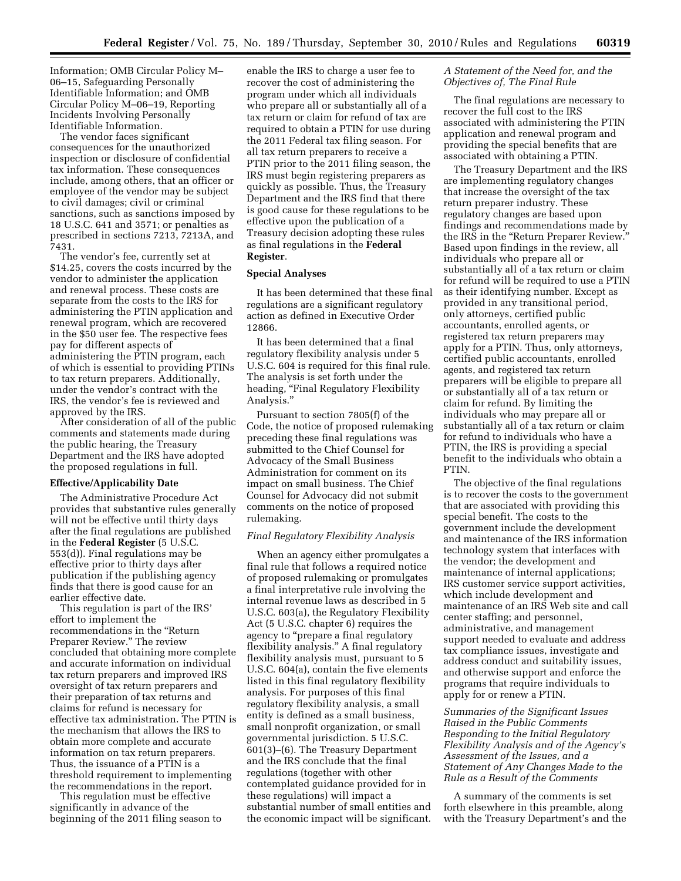Information; OMB Circular Policy M– 06–15, Safeguarding Personally Identifiable Information; and OMB Circular Policy M–06–19, Reporting Incidents Involving Personally Identifiable Information.

The vendor faces significant consequences for the unauthorized inspection or disclosure of confidential tax information. These consequences include, among others, that an officer or employee of the vendor may be subject to civil damages; civil or criminal sanctions, such as sanctions imposed by 18 U.S.C. 641 and 3571; or penalties as prescribed in sections 7213, 7213A, and 7431.

The vendor's fee, currently set at \$14.25, covers the costs incurred by the vendor to administer the application and renewal process. These costs are separate from the costs to the IRS for administering the PTIN application and renewal program, which are recovered in the \$50 user fee. The respective fees pay for different aspects of administering the PTIN program, each of which is essential to providing PTINs to tax return preparers. Additionally, under the vendor's contract with the IRS, the vendor's fee is reviewed and approved by the IRS.

After consideration of all of the public comments and statements made during the public hearing, the Treasury Department and the IRS have adopted the proposed regulations in full.

## **Effective/Applicability Date**

The Administrative Procedure Act provides that substantive rules generally will not be effective until thirty days after the final regulations are published in the **Federal Register** (5 U.S.C. 553(d)). Final regulations may be effective prior to thirty days after publication if the publishing agency finds that there is good cause for an earlier effective date.

This regulation is part of the IRS' effort to implement the recommendations in the ''Return Preparer Review.'' The review concluded that obtaining more complete and accurate information on individual tax return preparers and improved IRS oversight of tax return preparers and their preparation of tax returns and claims for refund is necessary for effective tax administration. The PTIN is the mechanism that allows the IRS to obtain more complete and accurate information on tax return preparers. Thus, the issuance of a PTIN is a threshold requirement to implementing the recommendations in the report.

This regulation must be effective significantly in advance of the beginning of the 2011 filing season to

enable the IRS to charge a user fee to recover the cost of administering the program under which all individuals who prepare all or substantially all of a tax return or claim for refund of tax are required to obtain a PTIN for use during the 2011 Federal tax filing season. For all tax return preparers to receive a PTIN prior to the 2011 filing season, the IRS must begin registering preparers as quickly as possible. Thus, the Treasury Department and the IRS find that there is good cause for these regulations to be effective upon the publication of a Treasury decision adopting these rules as final regulations in the **Federal Register**.

# **Special Analyses**

It has been determined that these final regulations are a significant regulatory action as defined in Executive Order 12866.

It has been determined that a final regulatory flexibility analysis under 5 U.S.C. 604 is required for this final rule. The analysis is set forth under the heading, "Final Regulatory Flexibility Analysis.''

Pursuant to section 7805(f) of the Code, the notice of proposed rulemaking preceding these final regulations was submitted to the Chief Counsel for Advocacy of the Small Business Administration for comment on its impact on small business. The Chief Counsel for Advocacy did not submit comments on the notice of proposed rulemaking.

## *Final Regulatory Flexibility Analysis*

When an agency either promulgates a final rule that follows a required notice of proposed rulemaking or promulgates a final interpretative rule involving the internal revenue laws as described in 5 U.S.C. 603(a), the Regulatory Flexibility Act (5 U.S.C. chapter 6) requires the agency to ''prepare a final regulatory flexibility analysis.'' A final regulatory flexibility analysis must, pursuant to 5 U.S.C. 604(a), contain the five elements listed in this final regulatory flexibility analysis. For purposes of this final regulatory flexibility analysis, a small entity is defined as a small business, small nonprofit organization, or small governmental jurisdiction. 5 U.S.C. 601(3)–(6). The Treasury Department and the IRS conclude that the final regulations (together with other contemplated guidance provided for in these regulations) will impact a substantial number of small entities and the economic impact will be significant.

## *A Statement of the Need for, and the Objectives of, The Final Rule*

The final regulations are necessary to recover the full cost to the IRS associated with administering the PTIN application and renewal program and providing the special benefits that are associated with obtaining a PTIN.

The Treasury Department and the IRS are implementing regulatory changes that increase the oversight of the tax return preparer industry. These regulatory changes are based upon findings and recommendations made by the IRS in the ''Return Preparer Review.'' Based upon findings in the review, all individuals who prepare all or substantially all of a tax return or claim for refund will be required to use a PTIN as their identifying number. Except as provided in any transitional period, only attorneys, certified public accountants, enrolled agents, or registered tax return preparers may apply for a PTIN. Thus, only attorneys, certified public accountants, enrolled agents, and registered tax return preparers will be eligible to prepare all or substantially all of a tax return or claim for refund. By limiting the individuals who may prepare all or substantially all of a tax return or claim for refund to individuals who have a PTIN, the IRS is providing a special benefit to the individuals who obtain a PTIN.

The objective of the final regulations is to recover the costs to the government that are associated with providing this special benefit. The costs to the government include the development and maintenance of the IRS information technology system that interfaces with the vendor; the development and maintenance of internal applications; IRS customer service support activities, which include development and maintenance of an IRS Web site and call center staffing; and personnel, administrative, and management support needed to evaluate and address tax compliance issues, investigate and address conduct and suitability issues, and otherwise support and enforce the programs that require individuals to apply for or renew a PTIN.

*Summaries of the Significant Issues Raised in the Public Comments Responding to the Initial Regulatory Flexibility Analysis and of the Agency's Assessment of the Issues, and a Statement of Any Changes Made to the Rule as a Result of the Comments* 

A summary of the comments is set forth elsewhere in this preamble, along with the Treasury Department's and the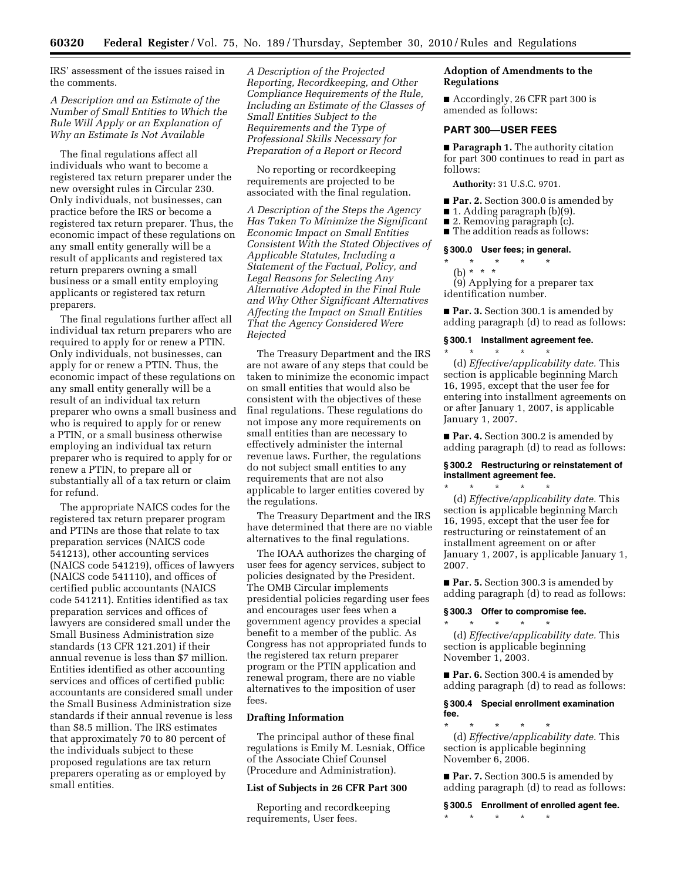IRS' assessment of the issues raised in the comments.

*A Description and an Estimate of the Number of Small Entities to Which the Rule Will Apply or an Explanation of Why an Estimate Is Not Available* 

The final regulations affect all individuals who want to become a registered tax return preparer under the new oversight rules in Circular 230. Only individuals, not businesses, can practice before the IRS or become a registered tax return preparer. Thus, the economic impact of these regulations on any small entity generally will be a result of applicants and registered tax return preparers owning a small business or a small entity employing applicants or registered tax return preparers.

The final regulations further affect all individual tax return preparers who are required to apply for or renew a PTIN. Only individuals, not businesses, can apply for or renew a PTIN. Thus, the economic impact of these regulations on any small entity generally will be a result of an individual tax return preparer who owns a small business and who is required to apply for or renew a PTIN, or a small business otherwise employing an individual tax return preparer who is required to apply for or renew a PTIN, to prepare all or substantially all of a tax return or claim for refund.

The appropriate NAICS codes for the registered tax return preparer program and PTINs are those that relate to tax preparation services (NAICS code 541213), other accounting services (NAICS code 541219), offices of lawyers (NAICS code 541110), and offices of certified public accountants (NAICS code 541211). Entities identified as tax preparation services and offices of lawyers are considered small under the Small Business Administration size standards (13 CFR 121.201) if their annual revenue is less than \$7 million. Entities identified as other accounting services and offices of certified public accountants are considered small under the Small Business Administration size standards if their annual revenue is less than \$8.5 million. The IRS estimates that approximately 70 to 80 percent of the individuals subject to these proposed regulations are tax return preparers operating as or employed by small entities.

*A Description of the Projected Reporting, Recordkeeping, and Other Compliance Requirements of the Rule, Including an Estimate of the Classes of Small Entities Subject to the Requirements and the Type of Professional Skills Necessary for Preparation of a Report or Record* 

No reporting or recordkeeping requirements are projected to be associated with the final regulation.

*A Description of the Steps the Agency Has Taken To Minimize the Significant Economic Impact on Small Entities Consistent With the Stated Objectives of Applicable Statutes, Including a Statement of the Factual, Policy, and Legal Reasons for Selecting Any Alternative Adopted in the Final Rule and Why Other Significant Alternatives Affecting the Impact on Small Entities That the Agency Considered Were Rejected* 

The Treasury Department and the IRS are not aware of any steps that could be taken to minimize the economic impact on small entities that would also be consistent with the objectives of these final regulations. These regulations do not impose any more requirements on small entities than are necessary to effectively administer the internal revenue laws. Further, the regulations do not subject small entities to any requirements that are not also applicable to larger entities covered by the regulations.

The Treasury Department and the IRS have determined that there are no viable alternatives to the final regulations.

The IOAA authorizes the charging of user fees for agency services, subject to policies designated by the President. The OMB Circular implements presidential policies regarding user fees and encourages user fees when a government agency provides a special benefit to a member of the public. As Congress has not appropriated funds to the registered tax return preparer program or the PTIN application and renewal program, there are no viable alternatives to the imposition of user fees.

## **Drafting Information**

The principal author of these final regulations is Emily M. Lesniak, Office of the Associate Chief Counsel (Procedure and Administration).

# **List of Subjects in 26 CFR Part 300**

Reporting and recordkeeping requirements, User fees.

# **Adoption of Amendments to the Regulations**

■ Accordingly, 26 CFR part 300 is amended as follows:

# **PART 300—USER FEES**

■ **Paragraph 1.** The authority citation for part 300 continues to read in part as follows:

**Authority:** 31 U.S.C. 9701.

- **Par. 2.** Section 300.0 is amended by
- 1. Adding paragraph (b)(9).
- 2. Removing paragraph (c).
- The addition reads as follows:

# **§ 300.0 User fees; in general.**

\* \* \* \* \*

(b) \* \* \* (9) Applying for a preparer tax identification number.

■ **Par. 3.** Section 300.1 is amended by adding paragraph (d) to read as follows:

# **§ 300.1 Installment agreement fee.**

\* \* \* \* \* (d) *Effective/applicability date.* This section is applicable beginning March 16, 1995, except that the user fee for entering into installment agreements on or after January 1, 2007, is applicable January 1, 2007.

■ **Par. 4.** Section 300.2 is amended by adding paragraph (d) to read as follows:

# **§ 300.2 Restructuring or reinstatement of installment agreement fee.**

\* \* \* \* \* (d) *Effective/applicability date.* This section is applicable beginning March 16, 1995, except that the user fee for restructuring or reinstatement of an installment agreement on or after January 1, 2007, is applicable January 1, 2007.

■ **Par. 5.** Section 300.3 is amended by adding paragraph (d) to read as follows:

# **§ 300.3 Offer to compromise fee.**

\* \* \* \* \* (d) *Effective/applicability date.* This section is applicable beginning November 1, 2003.

■ **Par. 6.** Section 300.4 is amended by adding paragraph (d) to read as follows:

## **§ 300.4 Special enrollment examination fee.**

\* \* \* \* \* (d) *Effective/applicability date.* This section is applicable beginning November 6, 2006.

■ **Par. 7.** Section 300.5 is amended by adding paragraph (d) to read as follows:

**§ 300.5 Enrollment of enrolled agent fee.**  \* \* \* \* \*